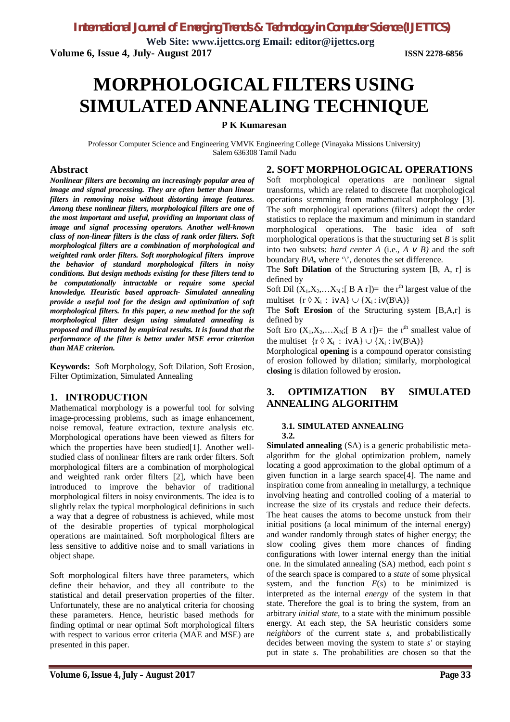**Web Site: www.ijettcs.org Email: editor@ijettcs.org Volume 6, Issue 4, July- August 2017 ISSN 2278-6856**

# **MORPHOLOGICALFILTERS USING SIMULATED ANNEALING TECHNIQUE**

#### **P K Kumaresan**

Professor Computer Science and Engineering VMVK Engineering College (Vinayaka Missions University) Salem 636308 Tamil Nadu

#### **Abstract**

*Nonlinear filters are becoming an increasingly popular area of image and signal processing. They are often better than linear filters in removing noise without distorting image features. Among these nonlinear filters, morphological filters are one of the most important and useful, providing an important class of image and signal processing operators. Another well-known class of non-linear filters is the class of rank order filters. Soft morphological filters are a combination of morphological and weighted rank order filters. Soft morphological filters improve the behavior of standard morphological filters in noisy conditions. But design methods existing for these filters tend to be computationally intractable or require some special knowledge. Heuristic based approach- Simulated annealing provide a useful tool for the design and optimization of soft morphological filters. In this paper, a new method for the soft morphological filter design using simulated annealing is proposed and illustrated by empirical results. It is found that the performance of the filter is better under MSE error criterion than MAE criterion.*

**Keywords:** Soft Morphology, Soft Dilation, Soft Erosion, Filter Optimization, Simulated Annealing

#### **1. INTRODUCTION**

Mathematical morphology is a powerful tool for solving image-processing problems, such as image enhancement, noise removal, feature extraction, texture analysis etc. Morphological operations have been viewed as filters for which the properties have been studied[1]. Another wellstudied class of nonlinear filters are rank order filters. Soft morphological filters are a combination of morphological and weighted rank order filters [2], which have been introduced to improve the behavior of traditional morphological filters in noisy environments. The idea is to slightly relax the typical morphological definitions in such a way that a degree of robustness is achieved, while most of the desirable properties of typical morphological operations are maintained. Soft morphological filters are less sensitive to additive noise and to small variations in object shape.

Soft morphological filters have three parameters, which define their behavior, and they all contribute to the statistical and detail preservation properties of the filter. Unfortunately, these are no analytical criteria for choosing these parameters. Hence, heuristic based methods for finding optimal or near optimal Soft morphological filters with respect to various error criteria (MAE and MSE) are presented in this paper.

#### **2. SOFT MORPHOLOGICAL OPERATIONS**

Soft morphological operations are nonlinear signal transforms, which are related to discrete flat morphological operations stemming from mathematical morphology [3]. The soft morphological operations (filters) adopt the order statistics to replace the maximum and minimum in standard morphological operations. The basic idea of soft morphological operations is that the structuring set *B* is split into two subsets: *hard center A* (i.e., *A v B)* and the soft boundary  $B \setminus A$ *,* where '\', denotes the set difference.

The **Soft Dilation** of the Structuring system [B, A, r] is defined by

Soft Dil  $(X_1, X_2, \ldots, X_N; [B \ A \ r]) =$  the r<sup>th</sup> largest value of the multiset  $\{r \, \Diamond \, X_i : i \, vA\} \cup \{X_i : i \, v(B \setminus A)\}\$ 

The **Soft Erosion** of the Structuring system [B,A,r] is defined by

Soft Ero  $(X_1, X_2, \ldots, X_N;$  [B A r]) = the r<sup>th</sup> smallest value of the multiset  $\{r \, \Diamond \, X_i : i \, vA\} \cup \{X_i : i \, v(B \setminus A)\}\$ 

Morphological **opening** is a compound operator consisting of erosion followed by dilation; similarly, morphological **closing** is dilation followed by erosion**.** 

#### **3. OPTIMIZATION BY SIMULATED ANNEALING ALGORITHM**

#### **3.1. SIMULATED ANNEALING**

**3.2. Simulated annealing** (SA) is a generic probabilistic metaalgorithm for the global optimization problem, namely locating a good approximation to the global optimum of a given function in a large search space[4]. The name and inspiration come from annealing in metallurgy, a technique involving heating and controlled cooling of a material to increase the size of its crystals and reduce their defects. The heat causes the atoms to become unstuck from their initial positions (a local minimum of the internal energy) and wander randomly through states of higher energy; the slow cooling gives them more chances of finding configurations with lower internal energy than the initial one. In the simulated annealing (SA) method, each point *s* of the search space is compared to a *state* of some physical system, and the function  $E(s)$  to be minimized is interpreted as the internal *energy* of the system in that state. Therefore the goal is to bring the system, from an arbitrary *initial state*, to a state with the minimum possible energy. At each step, the SA heuristic considers some *neighbors* of the current state *s*, and probabilistically decides between moving the system to state *s'* or staying put in state *s*. The probabilities are chosen so that the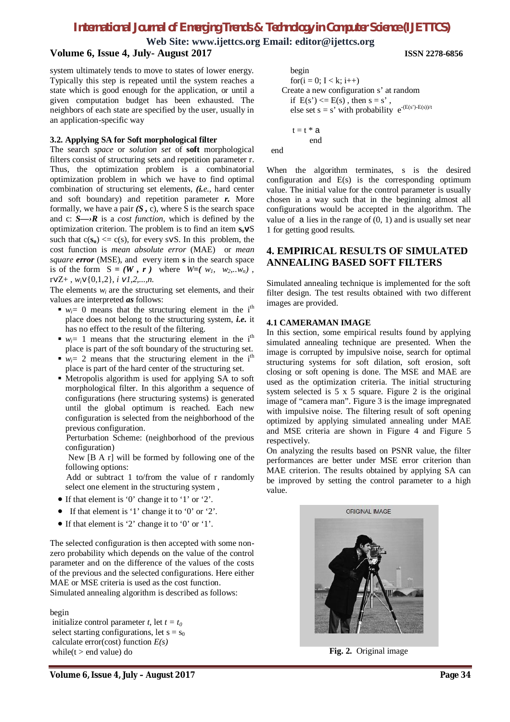### *International Journal of Emerging Trends & Technology in Computer Science (IJETTCS)*

**Web Site: www.ijettcs.org Email: editor@ijettcs.org**

### **Volume 6, Issue 4, July- August 2017 ISSN 2278-6856**

system ultimately tends to move to states of lower energy. Typically this step is repeated until the system reaches a state which is good enough for the application, or until a given computation budget has been exhausted. The neighbors of each state are specified by the user, usually in an application-specific way

#### **3.2. Applying SA for Soft morphological filter**

The search *space* or *solution set* of **soft** morphological filters consist of structuring sets and repetition parameter r. Thus, the optimization problem is a combinatorial optimization problem in which we have to find optimal combination of structuring set elements, *(i.e.,* hard center and soft boundary) and repetition parameter *r.* More formally, we have a pair  $(S, c)$ , where S is the search space and c: *S—›R* is a *cost function,* which is defined by the optimization criterion. The problem is to find an item **sov**S such that  $c(s_0) \leq c(s)$ , for every svS. In this problem, the cost function is *mean absolute error* (MAE)or *mean square error* (MSE), and every item **s** in the search space is of the form  $S = (W, r)$  where  $W = (w_1, w_2, \ldots, w_n)$ , rvZ+ , *wi*v{0,1,2}, *i v1,2,...,n.*

The elements  $w_i$  are the structuring set elements, and their values are interpreted *as* follows:

- $w_i = 0$  means that the structuring element in the i<sup>th</sup> place does not belong to the structuring system, *i.e.* it has no effect to the result of the filtering.
- $w_i = 1$  means that the structuring element in the i<sup>th</sup> place is part of the soft boundary of the structuring set.
- $w_i = 2$  means that the structuring element in the i<sup>th</sup> place is part of the hard center of the structuring set.
- Metropolis algorithm is used for applying SA to soft morphological filter. In this algorithm a sequence of configurations (here structuring systems) is generated until the global optimum is reached. Each new configuration is selected from the neighborhood of the previous configuration.

 Perturbation Scheme: (neighborhood of the previous configuration)

 New [B A r] will be formed by following one of the following options:

 Add or subtract 1 to/from the value of r randomly select one element in the structuring system ,

- If that element is '0' change it to '1' or '2'.
- If that element is '1' change it to '0' or '2'.
- If that element is '2' change it to '0' or '1'.

The selected configuration is then accepted with some nonzero probability which depends on the value of the control parameter and on the difference of the values of the costs of the previous and the selected configurations. Here either MAE or MSE criteria is used as the cost function. Simulated annealing algorithm is described as follows:

begin

initialize control parameter *t*, let  $t = t_0$ select starting configurations, let  $s = s_0$ calculate error(cost) function *E(s)* while( $t >$ end value) do

```
 begin
       for(i = 0; I < k; i++)
     Create a new configuration s' at random
      if E(s') \le E(s), then s = s',
else set s = s' with probability e^{-(E(s))E(s)/t}
```
 $t = t * a$ end

end

When the algorithm terminates, s is the desired configuration and E(s) is the corresponding optimum value. The initial value for the control parameter is usually chosen in a way such that in the beginning almost all configurations would be accepted in the algorithm. The value of  $\alpha$  lies in the range of  $(0, 1)$  and is usually set near 1 for getting good results.

#### **4. EMPIRICAL RESULTS OF SIMULATED ANNEALING BASED SOFT FILTERS**

Simulated annealing technique is implemented for the soft filter design. The test results obtained with two different images are provided.

#### **4.1 CAMERAMAN IMAGE**

In this section, some empirical results found by applying simulated annealing technique are presented. When the image is corrupted by impulsive noise, search for optimal structuring systems for soft dilation, soft erosion, soft closing or soft opening is done. The MSE and MAE are used as the optimization criteria. The initial structuring system selected is 5 x 5 square. Figure 2 is the original image of "camera man". Figure 3 is the image impregnated with impulsive noise. The filtering result of soft opening optimized by applying simulated annealing under MAE and MSE criteria are shown in Figure 4 and Figure 5 respectively.

On analyzing the results based on PSNR value, the filter performances are better under MSE error criterion than MAE criterion. The results obtained by applying SA can be improved by setting the control parameter to a high value.



**Fig. 2.** Original image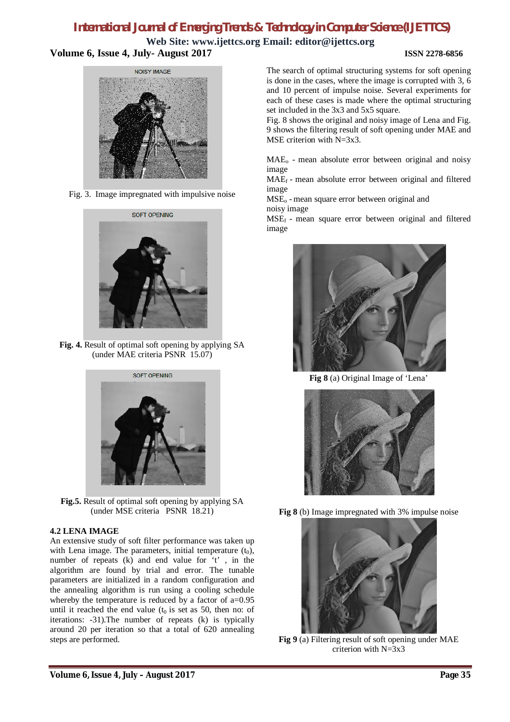### *International Journal of Emerging Trends & Technology in Computer Science (IJETTCS)*

**Web Site: www.ijettcs.org Email: editor@ijettcs.org Volume 6, Issue 4, July- August 2017 ISSN 2278-6856**



Fig. 3. Image impregnated with impulsive noise



**Fig. 4.** Result of optimal soft opening by applying SA (under MAE criteria PSNR 15.07)



**Fig.5.** Result of optimal soft opening by applying SA (under MSE criteria PSNR 18.21)

#### **4.2 LENA IMAGE**

An extensive study of soft filter performance was taken up with Lena image. The parameters, initial temperature  $(t_0)$ , number of repeats (k) and end value for 't' , in the algorithm are found by trial and error. The tunable parameters are initialized in a random configuration and the annealing algorithm is run using a cooling schedule whereby the temperature is reduced by a factor of a=0.95 until it reached the end value ( $t_0$  is set as 50, then no: of iterations: -31).The number of repeats (k) is typically around 20 per iteration so that a total of 620 annealing steps are performed.

The search of optimal structuring systems for soft opening is done in the cases, where the image is corrupted with 3, 6 and 10 percent of impulse noise. Several experiments for each of these cases is made where the optimal structuring set included in the 3x3 and 5x5 square.

Fig. 8 shows the original and noisy image of Lena and Fig. 9 shows the filtering result of soft opening under MAE and MSE criterion with N=3x3.

 $MAE<sub>o</sub>$  - mean absolute error between original and noisy image

MAEf - mean absolute error between original and filtered image

MSE<sub>o</sub> - mean square error between original and noisy image

 $MSE<sub>f</sub>$  - mean square error between original and filtered image



**Fig 8** (a) Original Image of 'Lena'



**Fig 8** (b) Image impregnated with 3% impulse noise



**Fig 9** (a) Filtering result of soft opening under MAE criterion with N=3x3